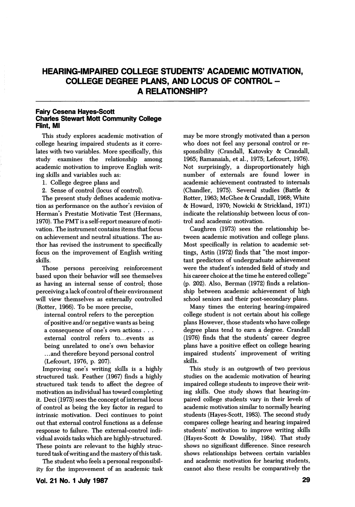# HEARING-IMPAIRED COLLEGE STUDENTS' ACADEMIC MOTIVATION, COLLEGE DEGREE PLANS, AND LOCUS OF CONTROL - A RELATIONSHIP?

### Fairy Cesena Hayes-Scott Charles Stewart Mott Community College Rint, Ml

This study explores academic motivation of college hearing impaired students as it corre lates with two variables. More specifically, this study examines the relationship among academic motivation to improve English writ ing skills and variables such as:

- 1. College degree plans and
- 2. Sense of control (locus of control).

The present study defines academic motiva tion as performance on the author's revision of Herman's Prestatie Motivatie Test (Hermans, 1970). The PMT is a self-report measure of moti vation. The instrument contains items that focus on achievement and neutral situations. The au thor has revised the instrument to specifically focus on the improvement of English writing skills.

Those persons perceiving reinforcement based upon their behavior will see themselves as having an internal sense of control; those perceiving a lack of control of their environment will view themselves as externally controlled (Rotter, 1966). To be more precise,

internal control refers to the perception of positive and/or negative wants as being a consequence of one's own actions . . . external control refers to...events as being unrelated to one's own behavior ...and therefore beyond personal control (Lefcourt, 1976, p. 207).

Improving one's writing skills is a highly structured task. Feather (1967) finds a highly structured task tends to affect the degree of motivation an individual has toward completing it. Deci (1975) sees the concept of internal locus of control as being the key factor in regard to intrinsic motivation. Deci continues to point out that external control functions as a defense response to failure. The external-control indi vidual avoids tasks which are highly-structured. These points are relevant to the highly struc tured task ofwriting and the mastery of this task.

The student who feels a personal responsibil ity for the improvement of an academic task

may be more strongly motivated than a person who does not feel any personal control or re sponsibility (Crandall, Katovsky & Crandall, 1965; Ramanaiah, et al., 1975; Lefcourt, 1976). Not surprisingly, a disproportionately high number of externals are found lower in academic achievement contrasted to internals (Chandler, 1975). Several studies (Battle & Rotter, 1963; McGhee & Crandall, 1968; White & Howard, 1970; Nowicki & Strickland, 1971) indicate the relationship between locus of con trol and academic motivation.

Caughren (1973) sees the relationship be tween academic motivation and college plans. Most specifically in relation to academic set tings, Astin (1972) finds that "the most impor tant predictors of undergraduate achievement were the student's intended field of study and his career choice at the time he entered college" (p. 202). Also, Berman (1972) finds a relationship between academic achievement of high school seniors and their post-secondary plans.

Many times the entering hearing-impaired college student is not certain about his college plans However, those students who have college degree plans tend to earn a degree. Crandall (1976) finds that the students' career degree plans have a positive effect on college hearing impaired students' improvement of writing skills.

This study is an outgrowth of two previous studies on the academic motivation of hearing impaired college students to improve their writ ing skills. One study shows that hearing-im paired college students vary in their levels of academic motivation similar to normally hearing students (Hayes-Scott, 1983). The second study compares college hearing and hearing impaired students' motivation to improve writing skills (Hayes-Scott & Dowaliby, 1984). That study shows no significant difierence. Since research shows relationships between certain variables and academic motivation for hearing students, cannot also these results be comparatively the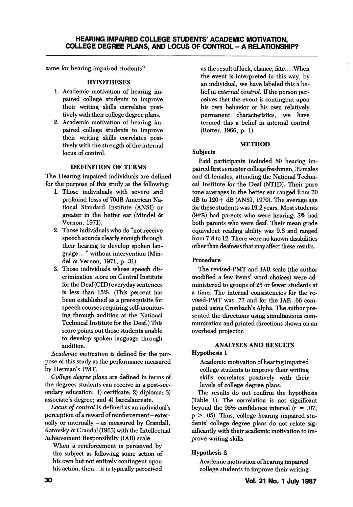same for hearing impaired students?

# **HYPOTHESES**

- 1. Academic motivation of hearing im paired college students to improve their writing skills correlates posi tively with their college degree plans.
- 2. Academic motivation of hearing im paired college students to improve their writing skills correlates posi tively with the strength of the internal locus of control.

### DEFINITION OF TERMS

The Hearing impaired individuals are defined for the purpose of this study as the following:

- 1. Those individuals with severe and profound losss of 70dB American Na tional Standard Institute (ANSI) or greater in the better ear (Mindel & Vemon, 1971).
- 2. Those individuals who do "not receive speech sounds clearly enough through their hearing to develop spoken lan guage. .." without intervention (Min del & Vemon, 1971, p. 31).
- 3. Those individuals whose speech dis crimination score on Central Institute for the Deaf (CID) everyday sentences is less than 15%. (This percent has been established as a prerequisite for speech courses requiring self-monitor ing through audition at the National Technical Institute for the Deaf.) This score points out those students unable to develop spoken language through audition.

Academic motivation is defined for the pur pose of this study as the performance measured by Herman's PMT.

College degree plans are defined in terms of the degrees students can receive in a post-sec ondary education: 1) certifcate; 2) diploma; 3) associate's degree; and 4) baccalaureate.

Locus of control is defined as an individual's perception of a reward of reinforcement - externally or internally - as measured by Crandall, Katovsky & Crandal (1965) with the Intellectual Achievement Responsibilty (lAR) scale.

When a reinforcement is perceived by the subject as following some action of his own but not entirely contingent upon his action, then.. .it is typically perceived as the result of luck, chance, fate.... When the event is interpreted in this way, by an individual, we have labeled this a be lief in external control. If the person per ceives that the event is contingent upon his own behavior or his own relatively permanent characteristics, we have termed this a belief in internal control (Rotter, 1966, p. 1).

### **METHOD**

### Subjects

Paid participants included 80 hearing im paired first semester college freshmen, 39 males and 41 females, attending the National Techni cal Institute for the Deaf (NTID). Their pure tone averages in the better ear ranged from 70  $dB$  to  $120 + dB$  (ANSI, 1970). The average age for these students was 19.2 years. Most students (94%) had parents who were hearing; 3% had both parents who were deaf. Their mean grade equivalent reading ability was 9.8 and ranged from 7.8 to 12. There were no known disabilities other than deafness that may affect these results.

# Procedure

The revised-PMT and lAR scale (the author modified a few items' word choices) were ad ministered to groups of 25 or fewer students at a time. The internal consistencies for the re vised-PMT was .77 and for the lAR .66 com puted using Cronbach's Alpha. The author pre sented the directions using simultaneous com munication and printed directions shown on an overhead projector.

# ANALYSES AND RESULTS

# Hypothesis 1

Academic motivation of hearing impaired college students to improve their writing skills correlates positively with their levels of college degree plans.

The results do not confirm the hypothesis (Table 1). The correlation is not significant beyond the 95% confidence interval  $(r = .07;$  $p > .05$ ). Thus, college hearing impaired students' college degree plans do not relate sig nificantly with their academic motivation to im prove writing skills.

# Hypothesis 2

Academic motivation of hearing impaired college students to improve their writing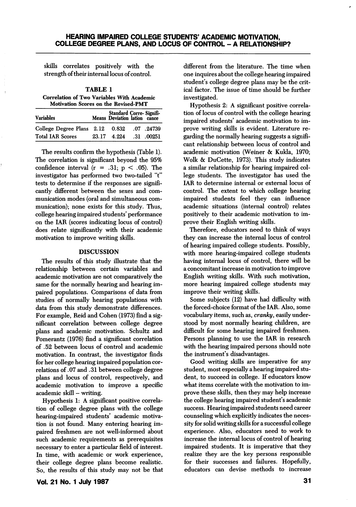skills correlates positively with the strength of their internal locus of control.

TABLE 1 Correlation of Two Variables With Academic Motivation Scores on the Revised-PMT

| <b>Variables</b>                |       | Standard Corre-Signifi-<br>Means Deviation lation cance |                    |
|---------------------------------|-------|---------------------------------------------------------|--------------------|
| College Degree Plans 2.12 0.832 |       |                                                         | .07.24739          |
| <b>Total IAR Scores</b>         | 23.17 | 4.224                                                   | $.31 \quad .00251$ |

The results confirm the hypothesis (Table 1). The correlation is significant beyond the 95% confidence interval  $(r = .31; p < .05)$ . The investigator has performed two two-tailed "t" tests to determine if the responses are signifi cantly different between the sexes and com munication modes (oral and simultaneous com munication); none exists for this study. Thus, college hearing impaired students' performance on the lAR (scores indicating locus of control) does relate significantly with their academic motivation to improve writing skills.

#### DISCUSSION

The results of this study illustrate that the relationship between certain variables and academic motivation are not comparatively the same for the normally hearing and hearing im paired populations. Comparisons of data from studies of normally hearing populations with data from this study demonstrate differences. For example, Reid and Cohen (1973) find a sig nificant correlation between college degree plans and academic motivation. Schultz and Pomerantz (1976) find a significant correlation of .52 between locus of control and academic motivation. In contrast, the investigator finds for her college hearing impaired population cor relations of .07 and .31 between college degree plans and locus of control, respectively, and academic motivation to improve a specific academic skill - writing.

Hypothesis 1: A significant positive correla tion of college degree plans with the college hearing-impaired students' academic motiva tion is not found. Many entering hearing im paired freshmen are not well-informed about such academic requirements as prerequisites necessary to enter a particular field of interest. In time, with academic or work experience, their college degree plans become realistic. So, the results of this study may not be that

Vol. 21 No. 1 July 1987

different from the literature. The time when one inquires about the college hearing impaired student's college degree plans may be the crit ical factor. The issue of time should be further investigated.

Hypothesis 2: A significant positive correla tion of locus of control with the college hearing impaired students' academic motivation to im prove writing skills is evident. Literature re garding the normally hearing suggests a signifi cant relationship between locus of control and academic motivation (Weiner & Kukla, 1970; Wolk & DuCette, 1973). This study indicates a similar relationship for hearing impaired col lege students. The investigator has used the lAR to determine internal or external locus of control. The extent to which college hearing impaired students feel they can influence academic situations (internal control) relates positively to their academic motivation to im prove their English writing skills.

Therefore, educators need to think of ways they can increase the internal locus of control of hearing impaired college students. Possibly, with more hearing-impaired college students having internal locus of control, there will be a concomitant increase in motivation to improve English writing skills. With such motivation, more hearing impaired college students may improve their writing skills.

Some subjects (12) have had difficulty with the forced-choice format of the lAR. Also, some vocabulary items, such as, cranky, easily under stood by most normally hearing children, are difficult for some hearing impaired freshmen. Persons planning to use the lAR in research with the hearing impaired persons should note the instrument's disadvantages.

Good writing skills are imperative for any student, most especially a hearing impaired stu dent, to succeed in college. If educators know what items correlate with the motivation to im prove these skills, then they may help increase the college hearing impaired student's academic success. Hearing impaired students need career counseling which explicitly indicates the neces sity for solid writing skills for a successful college experience. Also, educators need to work to increase the internal locus of control of hearing impaired students. It is imperative that they realize they are the key persons responsible for their successes and failures. Hopefully, educators can devise methods to increase